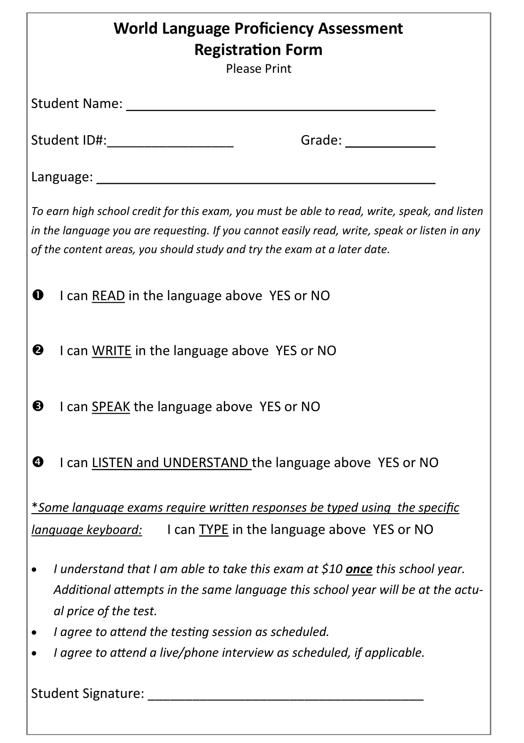| <b>World Language Proficiency Assessment</b><br><b>Registration Form</b><br><b>Please Print</b>                                                                                                                                                                          |
|--------------------------------------------------------------------------------------------------------------------------------------------------------------------------------------------------------------------------------------------------------------------------|
| Student Name: Namer                                                                                                                                                                                                                                                      |
| Grade: $\_$<br>Student ID#: _____________________                                                                                                                                                                                                                        |
|                                                                                                                                                                                                                                                                          |
| To earn high school credit for this exam, you must be able to read, write, speak, and listen<br>in the language you are requesting. If you cannot easily read, write, speak or listen in any<br>of the content areas, you should study and try the exam at a later date. |
| I can READ in the language above YES or NO<br>❶                                                                                                                                                                                                                          |
| ❷<br>I can WRITE in the language above YES or NO                                                                                                                                                                                                                         |
| ❸<br>I can SPEAK the language above YES or NO                                                                                                                                                                                                                            |
| ❹<br>I can LISTEN and UNDERSTAND the language above YES or NO                                                                                                                                                                                                            |
| *Some language exams require written responses be typed using the specific                                                                                                                                                                                               |
| language keyboard: I can TYPE in the language above YES or NO                                                                                                                                                                                                            |
| I understand that I am able to take this exam at \$10 <b>once</b> this school year.<br>Additional attempts in the same language this school year will be at the actu-<br>al price of the test.                                                                           |
| I agree to attend the testing session as scheduled.                                                                                                                                                                                                                      |
| I agree to attend a live/phone interview as scheduled, if applicable.                                                                                                                                                                                                    |
|                                                                                                                                                                                                                                                                          |